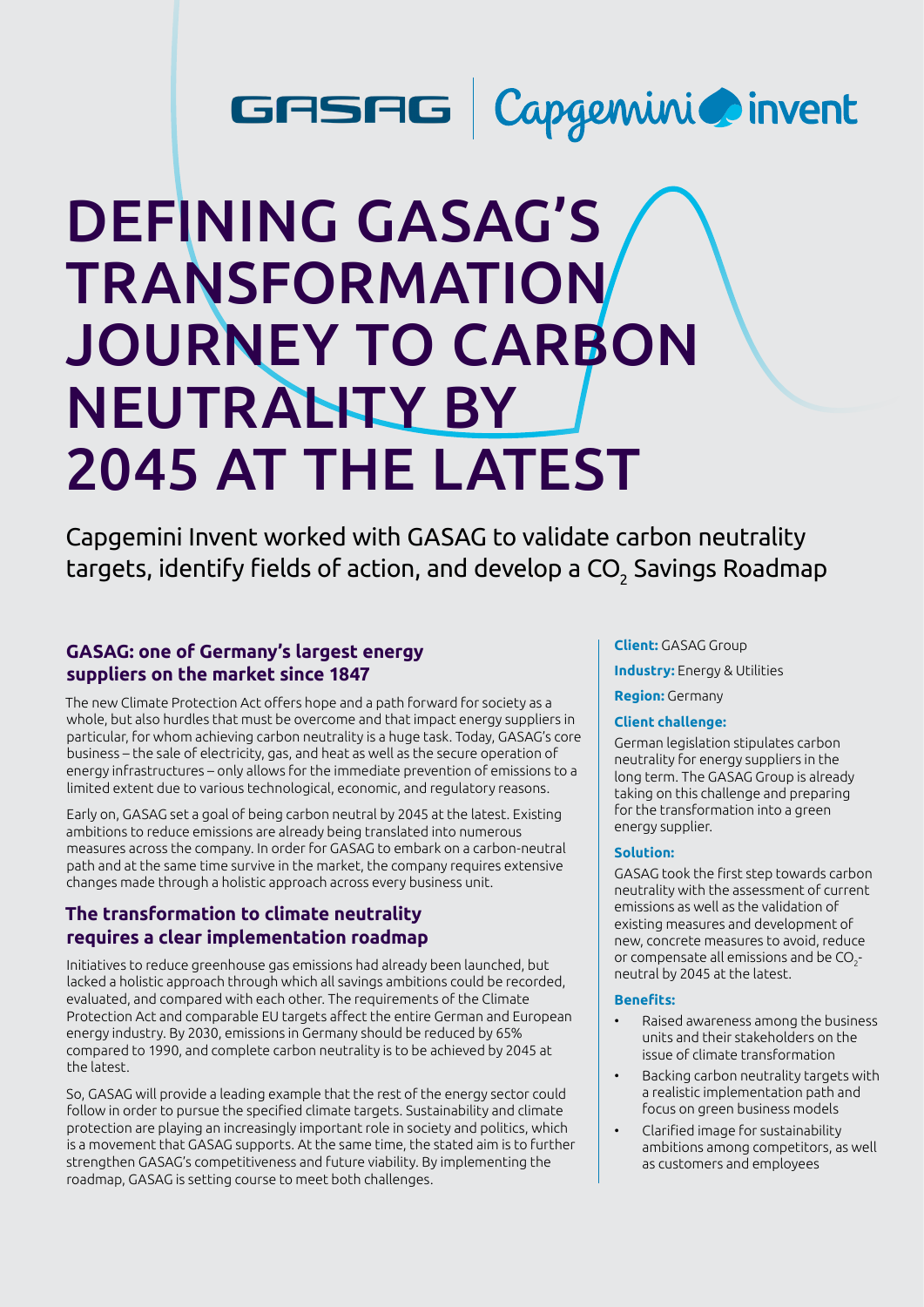## GASAG | Capgemini @invent

# DEFINING GASAG'S TRANSFORMATION JOURNEY TO CARBON **NEUTRALITY BY** 2045 AT THE LATEST

Capgemini Invent worked with GASAG to validate carbon neutrality targets, identify fields of action, and develop a CO $_{\rm 2}$  Savings Roadmap

## **GASAG: one of Germany's largest energy suppliers on the market since 1847**

The new Climate Protection Act offers hope and a path forward for society as a whole, but also hurdles that must be overcome and that impact energy suppliers in particular, for whom achieving carbon neutrality is a huge task. Today, GASAG's core business – the sale of electricity, gas, and heat as well as the secure operation of energy infrastructures – only allows for the immediate prevention of emissions to a limited extent due to various technological, economic, and regulatory reasons.

Early on, GASAG set a goal of being carbon neutral by 2045 at the latest. Existing ambitions to reduce emissions are already being translated into numerous measures across the company. In order for GASAG to embark on a carbon-neutral path and at the same time survive in the market, the company requires extensive changes made through a holistic approach across every business unit.

## **The transformation to climate neutrality requires a clear implementation roadmap**

Initiatives to reduce greenhouse gas emissions had already been launched, but lacked a holistic approach through which all savings ambitions could be recorded, evaluated, and compared with each other. The requirements of the Climate Protection Act and comparable EU targets affect the entire German and European energy industry. By 2030, emissions in Germany should be reduced by 65% compared to 1990, and complete carbon neutrality is to be achieved by 2045 at the latest.

So, GASAG will provide a leading example that the rest of the energy sector could follow in order to pursue the specified climate targets. Sustainability and climate protection are playing an increasingly important role in society and politics, which is a movement that GASAG supports. At the same time, the stated aim is to further strengthen GASAG's competitiveness and future viability. By implementing the roadmap, GASAG is setting course to meet both challenges.

#### **Client:** GASAG Group

**Industry:** Energy & Utilities

#### **Region:** Germany

#### **Client challenge:**

German legislation stipulates carbon neutrality for energy suppliers in the long term. The GASAG Group is already taking on this challenge and preparing for the transformation into a green energy supplier.

#### **Solution:**

GASAG took the first step towards carbon neutrality with the assessment of current emissions as well as the validation of existing measures and development of new, concrete measures to avoid, reduce or compensate all emissions and be  $CO<sub>2</sub>$ neutral by 2045 at the latest.

#### **Benefits:**

- Raised awareness among the business units and their stakeholders on the issue of climate transformation
- Backing carbon neutrality targets with a realistic implementation path and focus on green business models
- Clarified image for sustainability ambitions among competitors, as well as customers and employees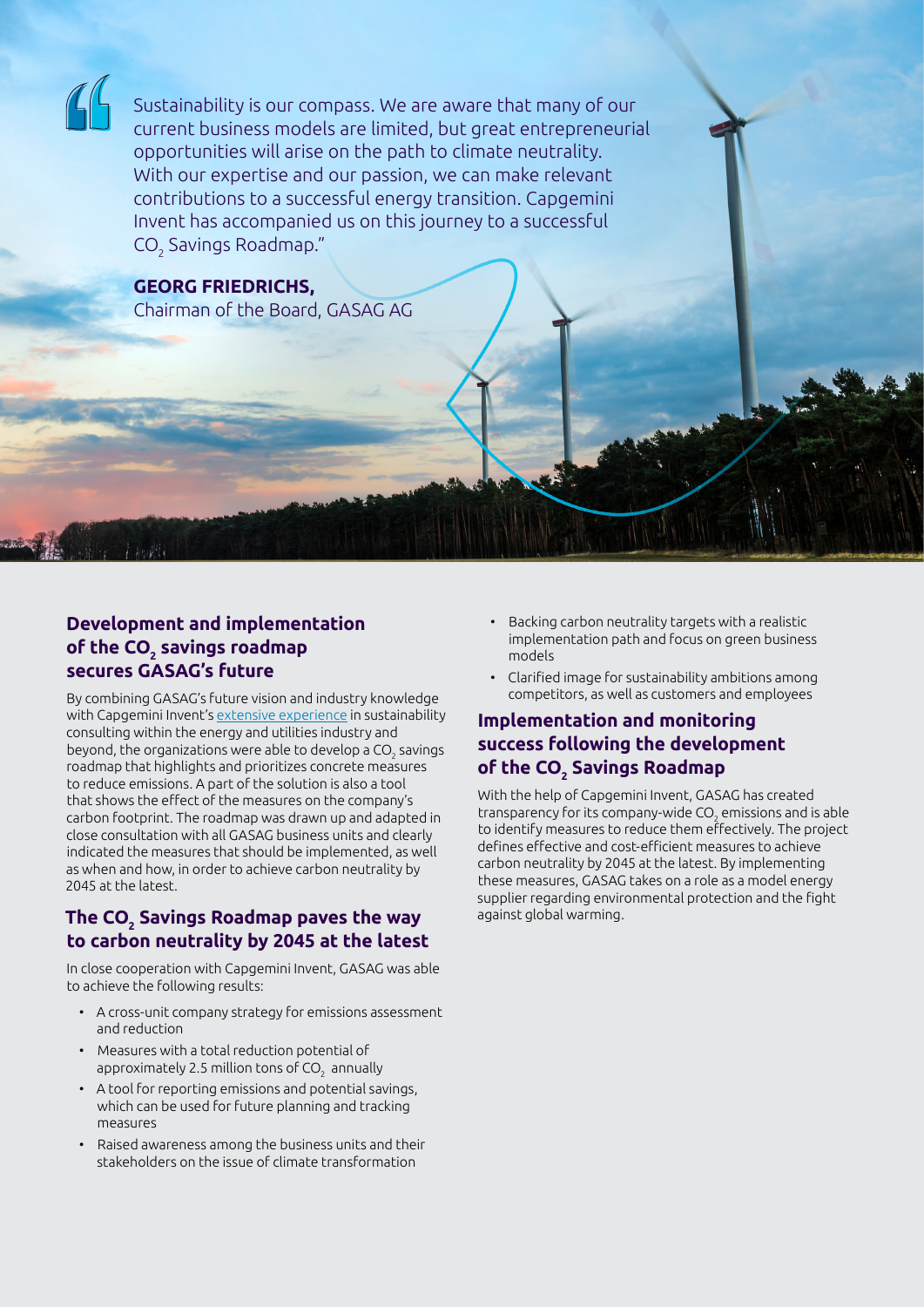Sustainability is our compass. We are aware that many of our current business models are limited, but great entrepreneurial opportunities will arise on the path to climate neutrality. With our expertise and our passion, we can make relevant contributions to a successful energy transition. Capgemini Invent has accompanied us on this journey to a successful CO $_{\tiny 2}$  Savings Roadmap."

**GEORG FRIEDRICHS,**  Chairman of the Board, GASAG AG

## **Development and implementation**  of the CO<sub>2</sub> savings roadmap **secures GASAG's future**

By combining GASAG's future vision and industry knowledge with Capgemini Invent's [extensive experience](https://www.capgemini.com/news/capgemini-invent-fit-for-net-zero-report/) in sustainability consulting within the energy and utilities industry and beyond, the organizations were able to develop a CO $_{\textrm{\tiny{2}}}$  savings roadmap that highlights and prioritizes concrete measures to reduce emissions. A part of the solution is also a tool that shows the effect of the measures on the company's carbon footprint. The roadmap was drawn up and adapted in close consultation with all GASAG business units and clearly indicated the measures that should be implemented, as well as when and how, in order to achieve carbon neutrality by 2045 at the latest.

## **The CO2 Savings Roadmap paves the way to carbon neutrality by 2045 at the latest**

In close cooperation with Capgemini Invent, GASAG was able to achieve the following results:

- A cross-unit company strategy for emissions assessment and reduction
- Measures with a total reduction potential of approximately 2.5 million tons of CO $_{\rm 2}$  annually
- A tool for reporting emissions and potential savings, which can be used for future planning and tracking measures
- Raised awareness among the business units and their stakeholders on the issue of climate transformation
- Backing carbon neutrality targets with a realistic implementation path and focus on green business models
- Clarified image for sustainability ambitions among competitors, as well as customers and employees

## **Implementation and monitoring success following the development of the CO2 Savings Roadmap**

With the help of Capgemini Invent, GASAG has created transparency for its company-wide CO $_{\rm 2}$  emissions and is able to identify measures to reduce them effectively. The project defines effective and cost-efficient measures to achieve carbon neutrality by 2045 at the latest. By implementing these measures, GASAG takes on a role as a model energy supplier regarding environmental protection and the fight against global warming.